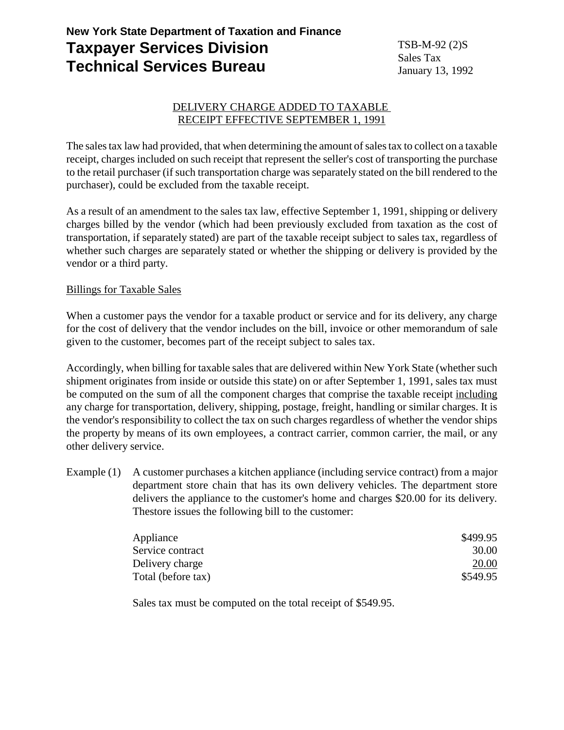# **New York State Department of Taxation and Finance Taxpayer Services Division Technical Services Bureau**

TSB-M-92 (2)S Sales Tax January 13, 1992

## DELIVERY CHARGE ADDED TO TAXABLE RECEIPT EFFECTIVE SEPTEMBER 1, 1991

The sales tax law had provided, that when determining the amount of sales tax to collect on a taxable receipt, charges included on such receipt that represent the seller's cost of transporting the purchase to the retail purchaser (if such transportation charge was separately stated on the bill rendered to the purchaser), could be excluded from the taxable receipt.

As a result of an amendment to the sales tax law, effective September 1, 1991, shipping or delivery charges billed by the vendor (which had been previously excluded from taxation as the cost of transportation, if separately stated) are part of the taxable receipt subject to sales tax, regardless of whether such charges are separately stated or whether the shipping or delivery is provided by the vendor or a third party.

## Billings for Taxable Sales

When a customer pays the vendor for a taxable product or service and for its delivery, any charge for the cost of delivery that the vendor includes on the bill, invoice or other memorandum of sale given to the customer, becomes part of the receipt subject to sales tax.

Accordingly, when billing for taxable sales that are delivered within New York State (whether such shipment originates from inside or outside this state) on or after September 1, 1991, sales tax must be computed on the sum of all the component charges that comprise the taxable receipt including any charge for transportation, delivery, shipping, postage, freight, handling or similar charges. It is the vendor's responsibility to collect the tax on such charges regardless of whether the vendor ships the property by means of its own employees, a contract carrier, common carrier, the mail, or any other delivery service.

Example (1) A customer purchases a kitchen appliance (including service contract) from a major department store chain that has its own delivery vehicles. The department store delivers the appliance to the customer's home and charges \$20.00 for its delivery. Thestore issues the following bill to the customer:

| Appliance          | \$499.95 |
|--------------------|----------|
| Service contract   | 30.00    |
| Delivery charge    | 20.00    |
| Total (before tax) | \$549.95 |

Sales tax must be computed on the total receipt of \$549.95.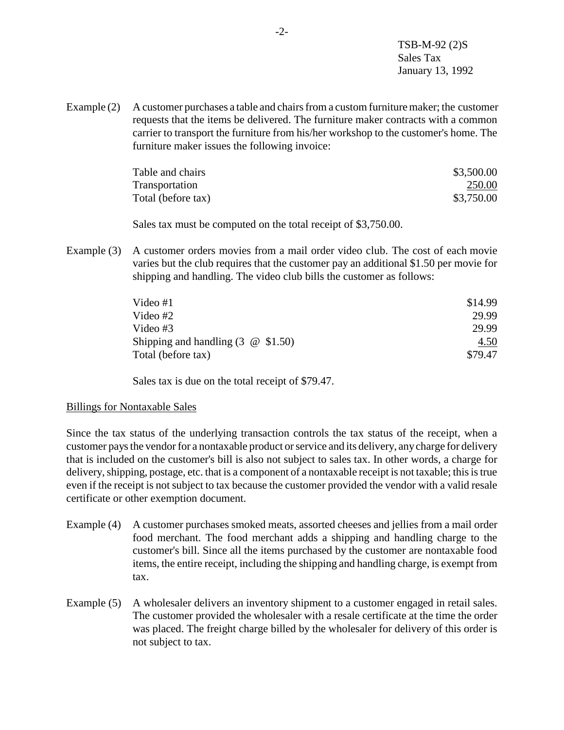TSB-M-92 (2)S Sales Tax January 13, 1992

Example (2) A customer purchases a table and chairs from a custom furniture maker; the customer requests that the items be delivered. The furniture maker contracts with a common carrier to transport the furniture from his/her workshop to the customer's home. The furniture maker issues the following invoice:

| Table and chairs   | \$3,500.00 |
|--------------------|------------|
| Transportation     | 250.00     |
| Total (before tax) | \$3,750.00 |

Sales tax must be computed on the total receipt of \$3,750.00.

Example (3) A customer orders movies from a mail order video club. The cost of each movie varies but the club requires that the customer pay an additional \$1.50 per movie for shipping and handling. The video club bills the customer as follows:

| Video #1                             | \$14.99 |
|--------------------------------------|---------|
| Video #2                             | 29.99   |
| Video #3                             | 29.99   |
| Shipping and handling $(3 \t@ 1.50)$ | 4.50    |
| Total (before tax)                   | \$79.47 |

Sales tax is due on the total receipt of \$79.47.

## Billings for Nontaxable Sales

Since the tax status of the underlying transaction controls the tax status of the receipt, when a customer pays the vendor for a nontaxable product or service and its delivery, any charge for delivery that is included on the customer's bill is also not subject to sales tax. In other words, a charge for delivery, shipping, postage, etc. that is a component of a nontaxable receipt is not taxable; this is true even if the receipt is not subject to tax because the customer provided the vendor with a valid resale certificate or other exemption document.

- Example (4) A customer purchases smoked meats, assorted cheeses and jellies from a mail order food merchant. The food merchant adds a shipping and handling charge to the customer's bill. Since all the items purchased by the customer are nontaxable food items, the entire receipt, including the shipping and handling charge, is exempt from tax.
- Example (5) A wholesaler delivers an inventory shipment to a customer engaged in retail sales. The customer provided the wholesaler with a resale certificate at the time the order was placed. The freight charge billed by the wholesaler for delivery of this order is not subject to tax.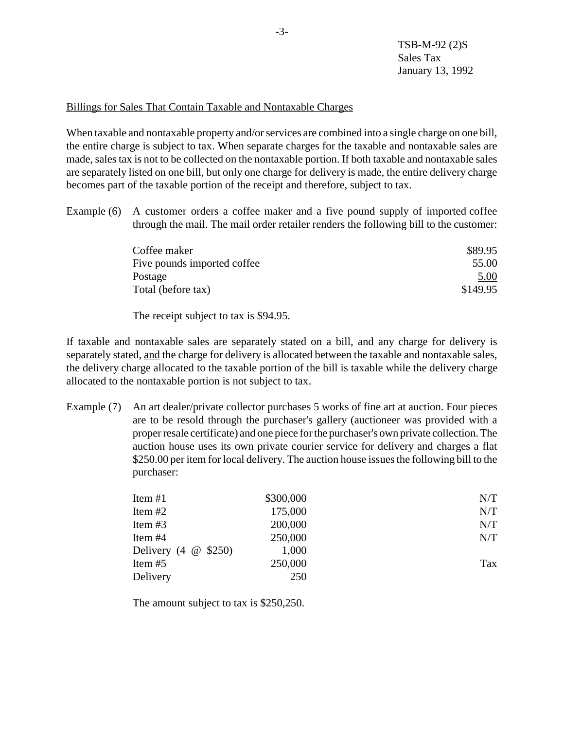#### Billings for Sales That Contain Taxable and Nontaxable Charges

When taxable and nontaxable property and/or services are combined into a single charge on one bill, the entire charge is subject to tax. When separate charges for the taxable and nontaxable sales are made, sales tax is not to be collected on the nontaxable portion. If both taxable and nontaxable sales are separately listed on one bill, but only one charge for delivery is made, the entire delivery charge becomes part of the taxable portion of the receipt and therefore, subject to tax.

Example (6) A customer orders a coffee maker and a five pound supply of imported coffee through the mail. The mail order retailer renders the following bill to the customer:

| \$89.95  |
|----------|
| 55.00    |
| 5.00     |
| \$149.95 |
|          |

The receipt subject to tax is \$94.95.

If taxable and nontaxable sales are separately stated on a bill, and any charge for delivery is separately stated, and the charge for delivery is allocated between the taxable and nontaxable sales, the delivery charge allocated to the taxable portion of the bill is taxable while the delivery charge allocated to the nontaxable portion is not subject to tax.

Example (7) An art dealer/private collector purchases 5 works of fine art at auction. Four pieces are to be resold through the purchaser's gallery (auctioneer was provided with a proper resale certificate) and one piece for the purchaser's own private collection. The auction house uses its own private courier service for delivery and charges a flat \$250.00 per item for local delivery. The auction house issues the following bill to the purchaser:

| Item $#1$                                       | \$300,000 | N/T |
|-------------------------------------------------|-----------|-----|
| Item $#2$                                       | 175,000   | N/T |
| Item $#3$                                       | 200,000   | N/T |
| Item $#4$                                       | 250,000   | N/T |
| Delivery $(4 \quad \textcircled{a} \quad $250)$ | 1,000     |     |
| Item $#5$                                       | 250,000   | Tax |
| Delivery                                        | 250       |     |

The amount subject to tax is \$250,250.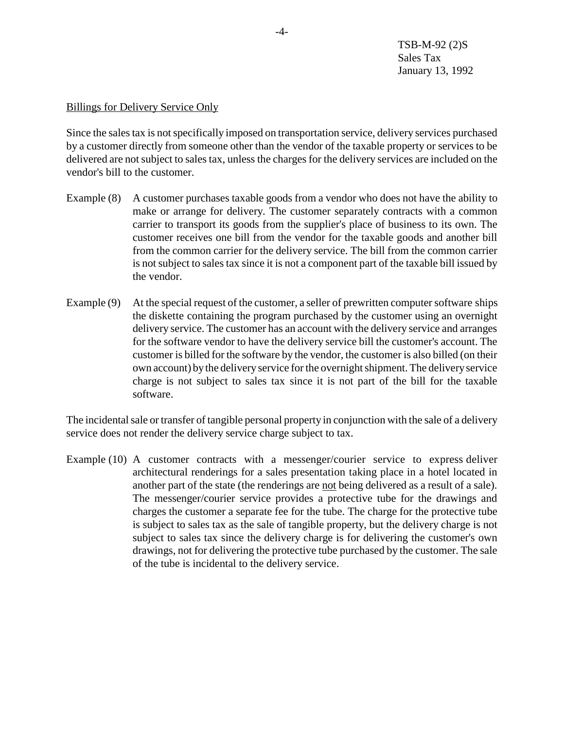TSB-M-92 (2)S Sales Tax January 13, 1992

#### Billings for Delivery Service Only

Since the sales tax is not specifically imposed on transportation service, delivery services purchased by a customer directly from someone other than the vendor of the taxable property or services to be delivered are not subject to sales tax, unless the charges for the delivery services are included on the vendor's bill to the customer.

- Example (8) A customer purchases taxable goods from a vendor who does not have the ability to make or arrange for delivery. The customer separately contracts with a common carrier to transport its goods from the supplier's place of business to its own. The customer receives one bill from the vendor for the taxable goods and another bill from the common carrier for the delivery service. The bill from the common carrier is not subject to sales tax since it is not a component part of the taxable bill issued by the vendor.
- Example (9) At the special request of the customer, a seller of prewritten computer software ships the diskette containing the program purchased by the customer using an overnight delivery service. The customer has an account with the delivery service and arranges for the software vendor to have the delivery service bill the customer's account. The customer is billed for the software by the vendor, the customer is also billed (on their own account) by the delivery service for the overnight shipment. The delivery service charge is not subject to sales tax since it is not part of the bill for the taxable software.

The incidental sale or transfer of tangible personal property in conjunction with the sale of a delivery service does not render the delivery service charge subject to tax.

Example (10) A customer contracts with a messenger/courier service to express deliver architectural renderings for a sales presentation taking place in a hotel located in another part of the state (the renderings are not being delivered as a result of a sale). The messenger/courier service provides a protective tube for the drawings and charges the customer a separate fee for the tube. The charge for the protective tube is subject to sales tax as the sale of tangible property, but the delivery charge is not subject to sales tax since the delivery charge is for delivering the customer's own drawings, not for delivering the protective tube purchased by the customer. The sale of the tube is incidental to the delivery service.